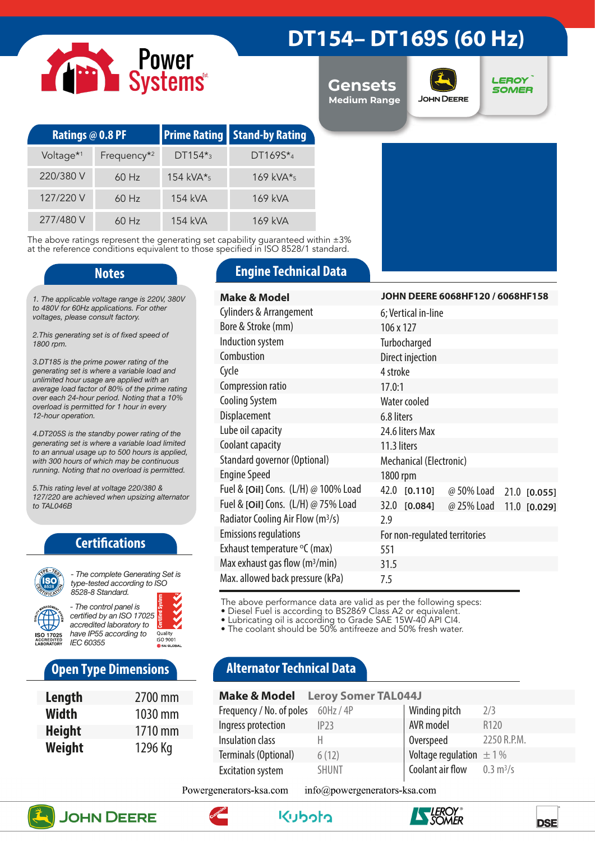# Power<br>Systems

|  | DT154-DT169S (60 Hz) |  |
|--|----------------------|--|
|--|----------------------|--|

**Gensets Medium Range**



**LEROY SOMER** 

| <b>Ratings @ 0.8 PF</b> |                         |                 | <b>Prime Rating Stand-by Rating</b> |  |
|-------------------------|-------------------------|-----------------|-------------------------------------|--|
| Voltage <sup>*1</sup>   | Frequency <sup>*2</sup> | $DT154*_{3}$    | $DT1695*_{4}$                       |  |
| 220/380 V               | $60$ Hz                 | 154 kVA $*_{5}$ | $169$ kVA* <sub>5</sub>             |  |
| 127/220 V               | $60$ Hz                 | 154 kVA         | 169 kVA                             |  |
| 277/480 V               | $60$ Hz                 | 154 kVA         | 169 kVA                             |  |

The above ratings represent the generating set capability guaranteed within ±3% at the reference conditions equivalent to those specified in ISO 8528/1 standard.

*1. The applicable voltage range is 220V, 380V to 480V for 60Hz applications. For other voltages, please consult factory.* 

*2.This generating set is of fixed speed of 1800 rpm.*

*3.DT185 is the prime power rating of the generating set is where a variable load and unlimited hour usage are applied with an average load factor of 80% of the prime rating over each 24-hour period. Noting that a 10% overload is permitted for 1 hour in every 12-hour operation.*

*4.DT205S is the standby power rating of the generating set is where a variable load limited to an annual usage up to 500 hours is applied, with 300 hours of which may be continuous running. Noting that no overload is permitted.*

*5.This rating level at voltage 220/380 & 127/220 are achieved when upsizing alternator to TAL046B*

### **Certifications**



*type-tested according to ISO 8528-8 Standard. - The control panel is* 



*certified by an ISO 17025*  Quality<br>ISO 9001

# **Open Type Dimensions**

| Length        | 2700 mm |
|---------------|---------|
| <b>Width</b>  | 1030 mm |
| <b>Height</b> | 1710 mm |
| Weight        | 1296 Kg |

### **Notes Engine Technical Data**

| <b>Make &amp; Model</b>                       | JOHN DEERE 6068HF120 / 6068HF158             |  |  |
|-----------------------------------------------|----------------------------------------------|--|--|
| <b>Cylinders &amp; Arrangement</b>            | 6; Vertical in-line                          |  |  |
| Bore & Stroke (mm)                            | 106 x 127                                    |  |  |
| Induction system                              | Turbocharged                                 |  |  |
| Combustion                                    | Direct injection                             |  |  |
| Cycle                                         | 4 stroke                                     |  |  |
| Compression ratio                             | 17.0:1                                       |  |  |
| <b>Cooling System</b>                         | Water cooled                                 |  |  |
| Displacement                                  | 6.8 liters                                   |  |  |
| Lube oil capacity                             | 24.6 liters Max                              |  |  |
| Coolant capacity                              | 11.3 liters                                  |  |  |
| Standard governor (Optional)                  | Mechanical (Electronic)                      |  |  |
| <b>Engine Speed</b>                           | 1800 rpm                                     |  |  |
| Fuel & [Oil] Cons. (L/H) @ 100% Load          | 42.0 [0.110]<br>@ 50% Load<br>21.0 [0.055]   |  |  |
| Fuel & [Oil] Cons. (L/H) @ 75% Load           | 32.0 [0.084]<br>@ 25% Load<br>$11.0$ [0.029] |  |  |
| Radiator Cooling Air Flow (m <sup>3</sup> /s) | 2.9                                          |  |  |
| <b>Emissions regulations</b>                  | For non-regulated territories                |  |  |
| Exhaust temperature °C (max)                  | 551                                          |  |  |
| Max exhaust gas flow $(m^3/min)$              | 31.5                                         |  |  |
| Max. allowed back pressure (kPa)              | 7.5                                          |  |  |

The above performance data are valid as per the following specs:

• Diesel Fuel is according to BS2869 Class A2 or equivalent.

• Lubricating oil is according to Grade SAE 15W-40 API CI4.

• The coolant should be 50% antifreeze and 50% fresh water.

# **Alternator Technical Data**

| <b>Make &amp; Model</b> Leroy Somer TAL044J |              |                             |                            |
|---------------------------------------------|--------------|-----------------------------|----------------------------|
| Frequency / No. of poles 60Hz / 4P          |              | Winding pitch               | 2/3                        |
| Ingress protection                          | IP23         | AVR model                   | R <sub>120</sub>           |
| Insulation class                            |              | Overspeed                   | 2250 R.P.M.                |
| Terminals (Optional)                        | 6(12)        | Voltage regulation $\pm$ 1% |                            |
| <b>Excitation system</b>                    | <b>SHUNT</b> | Coolant air flow            | $0.3 \text{ m}^3/\text{s}$ |

Powergenerators-ksa.com  $info(\omega)$ powergenerators-ksa.com







واوواريكا

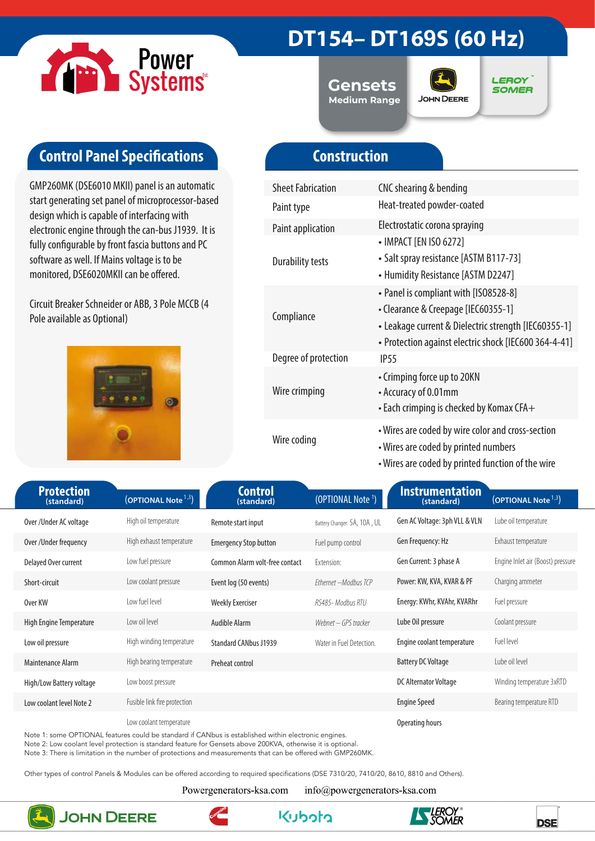

# **DT154– DT169S (60 Hz)**

**Gensets Medium Range**



**LEROY SOMER** 

# **Control Panel Specifications**

GMP260MK (DSE6010 MKII) panel is an automatic start generating set panel of microprocessor-based design which is capable of interfacing with electronic engine through the can-bus J1939. It is fully configurable by front fascia buttons and PC software as well. If Mains voltage is to be monitored, DSE6020MKII can be offered.

Circuit Breaker Schneider or ABB, 3 Pole MCCB (4 Pole available as Optional)



# **Construction**

| <b>Sheet Fabrication</b> | CNC shearing & bending                                                                                                                                                                        |
|--------------------------|-----------------------------------------------------------------------------------------------------------------------------------------------------------------------------------------------|
| Paint type               | Heat-treated powder-coated                                                                                                                                                                    |
| Paint application        | Electrostatic corona spraying                                                                                                                                                                 |
| <b>Durability tests</b>  | • IMPACT [EN ISO 6272]<br>• Salt spray resistance [ASTM B117-73]<br>• Humidity Resistance [ASTM D2247]                                                                                        |
| Compliance               | • Panel is compliant with [ISO8528-8]<br>• Clearance & Creepage [IEC60355-1]<br>• Leakage current & Dielectric strength [IEC60355-1]<br>• Protection against electric shock [IEC600 364-4-41] |
| Degree of protection     | IP <sub>55</sub>                                                                                                                                                                              |
| Wire crimping            | • Crimping force up to 20KN<br>• Accuracy of 0.01mm<br>$\cdot$ Each crimping is checked by Komax CFA $+$                                                                                      |
| Wire coding              | • Wires are coded by wire color and cross-section<br>• Wires are coded by printed numbers<br>• Wires are coded by printed function of the wire                                                |

| <b>Protection</b><br>(standard) | (OPTIONAL Note <sup>1,3</sup> ) | <b>Control</b><br>(standard)   | (OPTIONAL Note <sup>1</sup> ) | Instrumentation<br>(standard) | (OPTIONAL Note <sup>1,3</sup> )   |
|---------------------------------|---------------------------------|--------------------------------|-------------------------------|-------------------------------|-----------------------------------|
| Over/Under AC voltage           | High oil temperature            | Remote start input             | Battery Changer: 5A, 10A, UL  | Gen AC Voltage: 3ph VLL & VLN | Lube oil temperature              |
| Over /Under frequency           | High exhaust temperature        | <b>Emergency Stop button</b>   | Fuel pump control             | Gen Frequency: Hz             | Exhaust temperature               |
| Delayed Over current            | Low fuel pressure               | Common Alarm volt-free contact | Extension:                    | Gen Current: 3 phase A        | Engine Inlet air (Boost) pressure |
| Short-circuit                   | Low coolant pressure            | Event log (50 events)          | Ethernet - Modbus TCP         | Power: KW, KVA, KVAR & PF     | Charging ammeter                  |
| Over KW                         | Low fuel level                  | <b>Weekly Exerciser</b>        | RS485- Modbus RTU             | Energy: KWhr, KVAhr, KVARhr   | Fuel pressure                     |
| High Engine Temperature         | Low oil level                   | Audible Alarm                  | Webnet – GPS tracker          | Lube Oil pressure             | Coolant pressure                  |
| Low oil pressure                | High winding temperature        | <b>Standard CANbus J1939</b>   | Water in Fuel Detection.      | Engine coolant temperature    | Fuel level                        |
| Maintenance Alarm               | High bearing temperature        | Preheat control                |                               | <b>Battery DC Voltage</b>     | Lube oil level                    |
| High/Low Battery voltage        | Low boost pressure              |                                |                               | DC Alternator Voltage         | Winding temperature 3xRTD         |
| Low coolant level Note 2        | Fusible link fire protection    |                                |                               | <b>Engine Speed</b>           | Bearing temperature RTD           |
|                                 | Low coolant temperature         |                                |                               | Operating hours               |                                   |

Note 1: some OPTIONAL features could be standard if CANbus is established within electronic engines.

Note 2: Low coolant level protection is standard feature for Gensets above 200KVA, otherwise it is optional.

Note 3: There is limitation in the number of protections and measurements that can be offered with GMP260MK.

Other types of control Panels & Modules can be offered according to required specifications (DSE 7310/20, 7410/20, 8610, 8810 and Others).

Powergenerators-ksa.com

info@powergenerators-ksa.com

**Kuboto** 



**JOHN DEERE** 



**DSE**